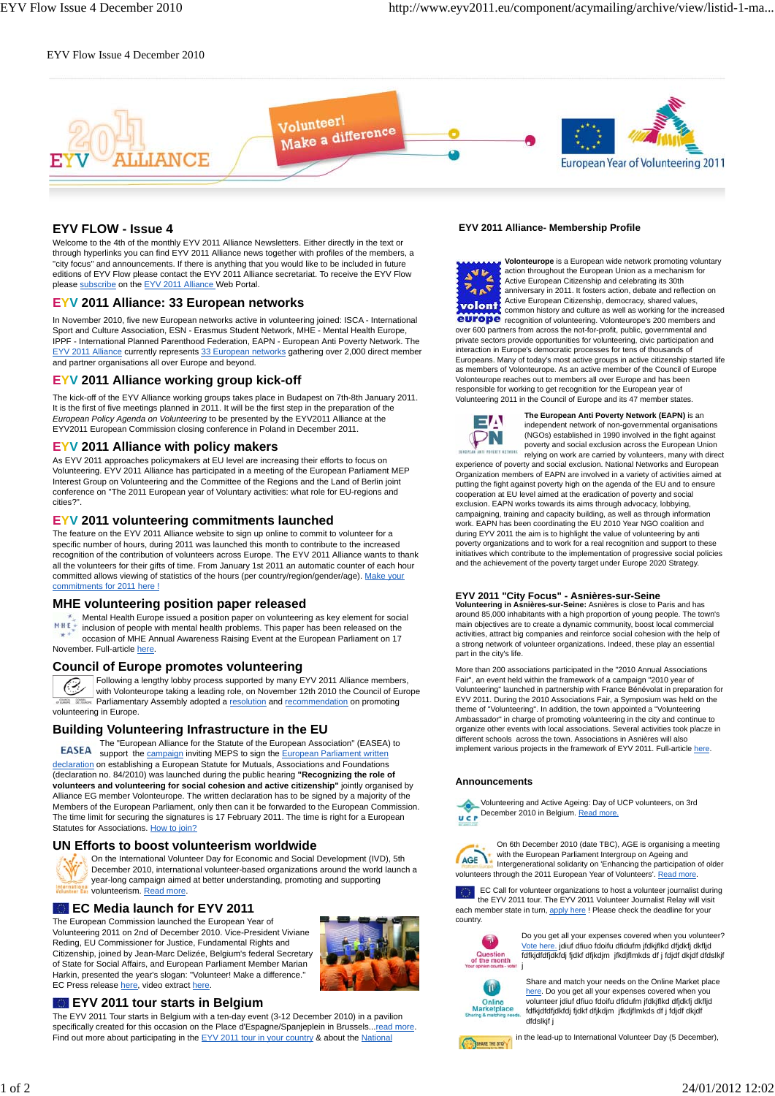#### EYV Flow Issue 4 December 2010



## **EYV FLOW - Issue 4**

Welcome to the 4th of the monthly EYV 2011 Alliance Newsletters. Either directly in the text or through hyperlinks you can find EYV 2011 Alliance news together with profiles of the members, a "city focus" and announcements. If there is anything that you would like to be included in future editions of EYV Flow please contact the EYV 2011 Alliance secretariat. To receive the EYV Flow please subscribe on the EYV 2011 Alliance Web Portal.

#### **EYV 2011 Alliance: 33 European networks**

In November 2010, five new European networks active in volunteering joined: ISCA - International Sport and Culture Association, ESN - Erasmus Student Network, MHE - Mental Health Europe, IPPF - International Planned Parenthood Federation, EAPN - European Anti Poverty Network. The EYV 2011 Alliance currently represents 33 European networks gathering over 2,000 direct member and partner organisations all over Europe and beyond.

## **EYV 2011 Alliance working group kick-off**

The kick-off of the EYV Alliance working groups takes place in Budapest on 7th-8th January 2011. It is the first of five meetings planned in 2011. It will be the first step in the preparation of the *European Policy Agenda on Volunteering* to be presented by the EYV2011 Alliance at the EYV2011 European Commission closing conference in Poland in December 2011.

# **EYV 2011 Alliance with policy makers**

As EYV 2011 approaches policymakers at EU level are increasing their efforts to focus on Volunteering. EYV 2011 Alliance has participated in a meeting of the European Parliament MEP Interest Group on Volunteering and the Committee of the Regions and the Land of Berlin joint conference on "The 2011 European year of Voluntary activities: what role for EU-regions and cities?".

#### **EYV 2011 volunteering commitments launched**

The feature on the EYV 2011 Alliance website to sign up online to commit to volunteer for a specific number of hours, during 2011 was launched this month to contribute to the increased recognition of the contribution of volunteers across Europe. The EYV 2011 Alliance wants to thank all the volunteers for their gifts of time. From January 1st 2011 an automatic counter of each hour committed allows viewing of statistics of the hours (per country/region/gender/age). Make your commitments for 2011 here !

#### **MHE volunteering position paper released**

Mental Health Europe issued a position paper on volunteering as key element for social MHE inclusion of people with mental health problems. This paper has been released on the occasion of MHE Annual Awareness Raising Event at the European Parliament on 17 November. Full-article here

#### **Council of Europe promotes volunteering**

Following a lengthy lobby process supported by many EYV 2011 Alliance members, with Volonteurope taking a leading role, on November 12th 2010 the Council of Europe **CONSEK** Parliamentary Assembly adopted a resolution and recommendation on promoting volunteering in Europe.

#### **Building Volunteering Infrastructure in the EU**

The "European Alliance for the Statute of the European Association" (EASEA) to **EASEA** support the campaign inviting MEPS to sign the European Parliament written declaration on establishing a European Statute for Mutuals, Associations and Foundations (declaration no. 84/2010) was launched during the public hearing **"Recognizing the role of volunteers and volunteering for social cohesion and active citizenship"** jointly organised by Alliance EG member Volonteurope. The written declaration has to be signed by a majority of the Members of the European Parliament, only then can it be forwarded to the European Commission. The time limit for securing the signatures is 17 February 2011. The time is right for a European Statutes for Associations. How to join?

#### **UN Efforts to boost volunteerism worldwide**

On the International Volunteer Day for Economic and Social Development (IVD), 5th December 2010, international volunteer-based organizations around the world launch a year-long campaign aimed at better understanding, promoting and supporting volunteerism. Read more.

#### **EC Media launch for EYV 2011**

The European Commission launched the European Year of Volunteering 2011 on 2nd of December 2010. Vice-President Viviane Reding, EU Commissioner for Justice, Fundamental Rights and Citizenship, joined by Jean-Marc Delizée, Belgium's federal Secretary of State for Social Affairs, and European Parliament Member Marian Harkin, presented the year's slogan: "Volunteer! Make a difference." EC Press release here, video extract here



#### **EYV 2011 tour starts in Belgium**

The EYV 2011 Tour starts in Belgium with a ten-day event (3-12 December 2010) in a pavilion specifically created for this occasion on the Place d'Espagne/Spanjeplein in Brussels...read more. Find out more about participating in the EYV 2011 tour in your country & about the National

#### **EYV 2011 Alliance- Membership Profile**

**Volonteurope** is a European wide network promoting voluntary action throughout the European Union as a mechanism for Active European Citizenship and celebrating its 30th  $\overline{P_{AB}P}$ anniversary in 2011. It fosters action, debate and reflection on Active European Citizenship, democracy, shared values, volont common history and culture as well as working for the increased europe recognition of volunteering. Volonteurope's 200 members and over 600 partners from across the not-for-profit, public, governmental and private sectors provide opportunities for volunteering, civic participation and interaction in Europe's democratic processes for tens of thousands of Europeans. Many of today's most active groups in active citizenship started life as members of Volonteurope. As an active member of the Council of Europe Volonteurope reaches out to members all over Europe and has been responsible for working to get recognition for the European year of Volunteering 2011 in the Council of Europe and its 47 member states.



**The European Anti Poverty Network (EAPN)** is an independent network of non-governmental organisations (NGOs) established in 1990 involved in the fight against poverty and social exclusion across the European Union relying on work are carried by volunteers, many with direct experience of poverty and social exclusion. National Networks and European

Organization members of EAPN are involved in a variety of activities aimed at putting the fight against poverty high on the agenda of the EU and to ensure cooperation at EU level aimed at the eradication of poverty and social exclusion. EAPN works towards its aims through advocacy, lobbying, campaigning, training and capacity building, as well as through information work. EAPN has been coordinating the EU 2010 Year NGO coalition and during EYV 2011 the aim is to highlight the value of volunteering by anti poverty organizations and to work for a real recognition and support to these initiatives which contribute to the implementation of progressive social policies and the achievement of the poverty target under Europe 2020 Strategy.

# **EYV 2011 "City Focus" - Asnières-sur-Seine Volunteering in Asnières-sur-Seine:** Asnières is close to Paris and has

around 85,000 inhabitants with a high proportion of young people. The town's main objectives are to create a dynamic community, boost local commercial activities, attract big companies and reinforce social cohesion with the help of a strong network of volunteer organizations. Indeed, these play an essential part in the city's life.

More than 200 associations participated in the "2010 Annual Associations Fair", an event held within the framework of a campaign "2010 year of Volunteering" launched in partnership with France Bénévolat in preparation for EYV 2011. During the 2010 Associations Fair, a Symposium was held on the theme of "Volunteering". In addition, the town appointed a "Volunteering Ambassador" in charge of promoting volunteering in the city and continue to organize other events with local associations. Several activities took placze in different schools across the town. Associations in Asnières will also implement various projects in the framework of EYV 2011. Full-article here.

#### **Announcements**



AGE \

On 6th December 2010 (date TBC), AGE is organising a meeting with the European Parliament Intergroup on Ageing and Intergenerational solidarity on 'Enhancing the participation of older volunteers through the 2011 European Year of Volunteers'. Read more

EC Call for volunteer organizations to host a volunteer journalist during the EYV 2011 tour. The EYV 2011 Volunteer Journalist Relay will visit each member state in turn, apply here ! Please check the deadline for your country.



Do you get all your expenses covered when you volunteer? Vote here. jdiuf dfiuo fdoifu dfidufm jfdkjflkd dfjdkfj dkfljd fdfkjdfdfjdkfdj fjdkf dfjkdjm jfkdjflmkds df j fdjdf dkjdf dfdslkjf



Share and match your needs on the Online Market place here. Do you get all your expenses covered when you<br>volunteer jdiuf dfiuo fdoifu dfidufm jfdkjflkd dfjdkfj dkfljd fdfkjdfdfjdkfdj fjdkf dfjkdjm jfkdjflmkds df j fdjdf dkjdf dfdslkif i

in the lead-up to International Volunteer Day (5 December), SHARE THE STOY